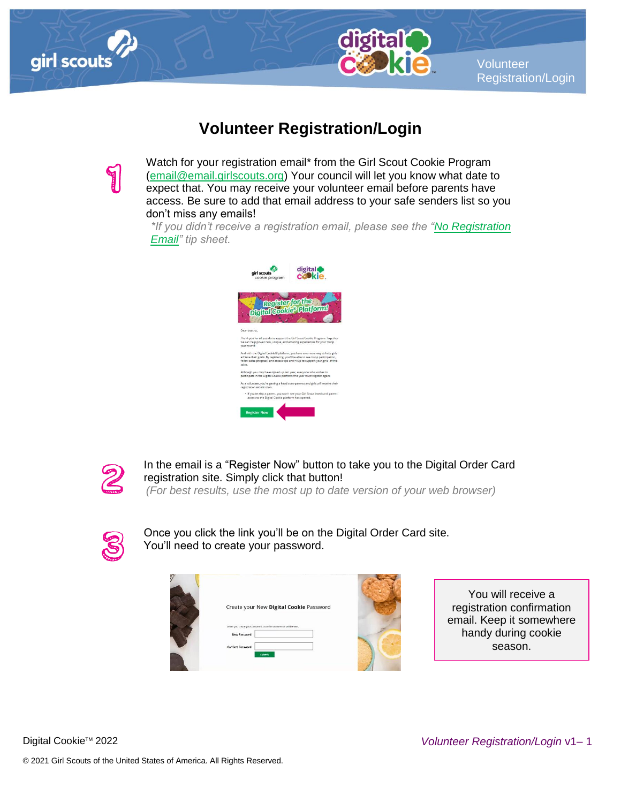



**Volunteer** Registration/Login

## **Volunteer Registration/Login**

Watch for your registration email\* from the Girl Scout Cookie Program [\(email@email.girlscouts.org\)](mailto:email@email.girlscouts.org) Your council will let you know what date to expect that. You may receive your volunteer email before parents have access. Be sure to add that email address to your safe senders list so you don't miss any emails!

*\*If you didn't receive a registration email, please see the ["No Registration](http://www.girlscouts.org/dc2016-205)  [Email"](http://www.girlscouts.org/dc2016-205) tip sheet.*





In the email is a "Register Now" button to take you to the Digital Order Card registration site. Simply click that button!

*(For best results, use the most up to date version of your web browser)*



Once you click the link you'll be on the Digital Order Card site. You'll need to create your password.

| ŋ |                                                                                                              |  |
|---|--------------------------------------------------------------------------------------------------------------|--|
|   | Create your New Digital Cookie Password<br>When you create your password, a confirmation email will be sent. |  |
|   | <b>New Password:</b><br>Confirm Password:                                                                    |  |
|   | Submit                                                                                                       |  |

You will receive a registration confirmation email. Keep it somewhere handy during cookie season.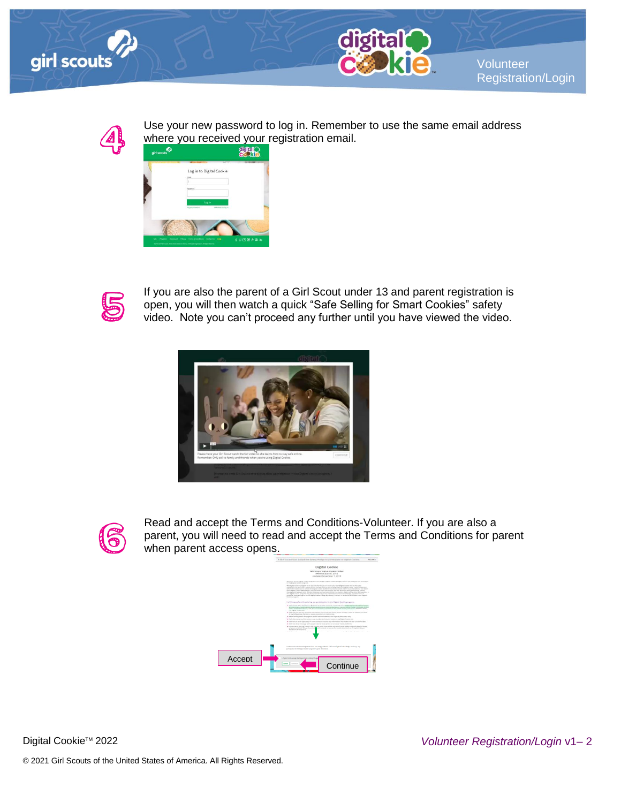



Volunteer Registration/Login



Use your new password to log in. Remember to use the same email address where you received your registration email.





If you are also the parent of a Girl Scout under 13 and parent registration is open, you will then watch a quick "Safe Selling for Smart Cookies" safety video. Note you can't proceed any further until you have viewed the video.





Read and accept the Terms and Conditions-Volunteer. If you are also a parent, you will need to read and accept the Terms and Conditions for parent when parent access opens.